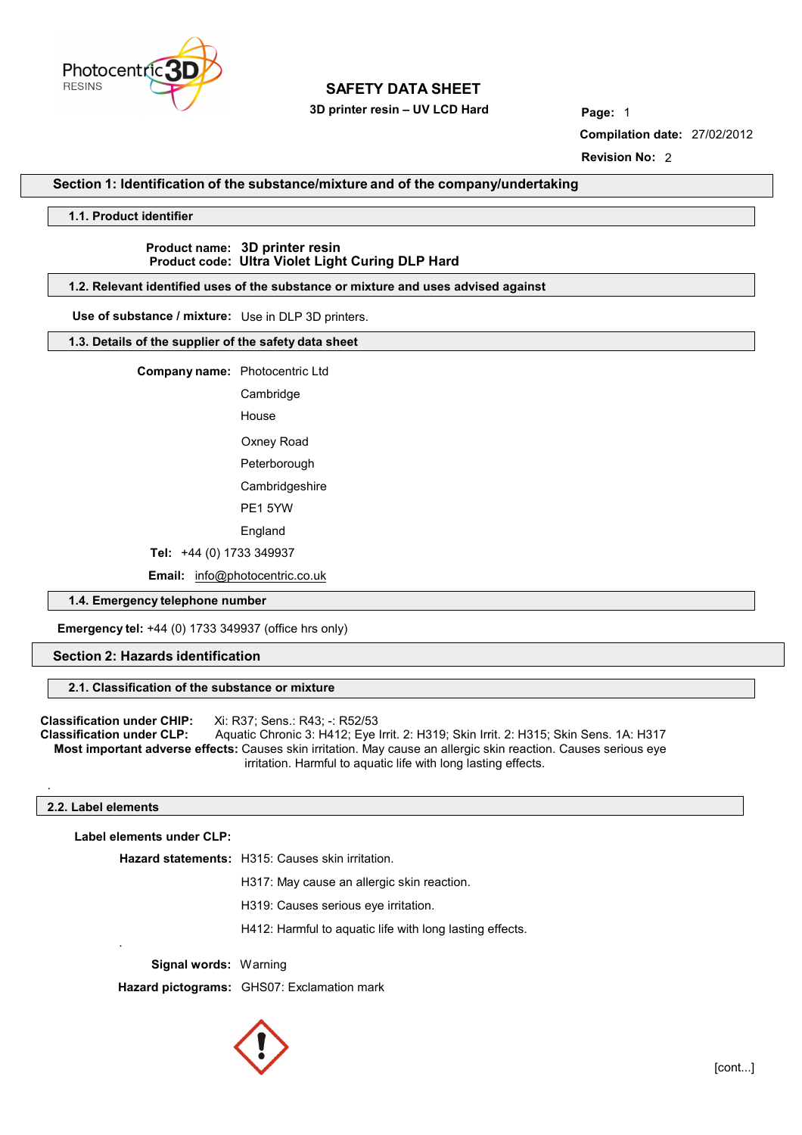

 **3D printer resin – UV LCD Hard Page:** 1

**Compilation date:** 27/02/2012 **Revision No:** 2

## **Section 1: Identification of the substance/mixture and of the company/undertaking**

#### **1.1. Product identifier**

## **Product name: 3D printer resin Product code: Ultra Violet Light Curing DLP Hard**

#### **1.2. Relevant identified uses of the substance or mixture and uses advised against**

**Use of substance / mixture:** Use in DLP 3D printers.

#### **1.3. Details of the supplier of the safety data sheet**

**Company name:** Photocentric Ltd

Cambridge House

 Oxney Road Peterborough

**Cambridgeshire** 

PE1 5YW

England

 **Tel:** +44 (0) 1733 349937

 **Email:** [info@photocentric.co.uk](mailto:info@photocentric.co.uk)

#### **1.4. Emergency telephone number**

 **Emergency tel:** +44 (0) 1733 349937 (office hrs only)

## **Section 2: Hazards identification**

#### **2.1. Classification of the substance or mixture**

**Classification under CHIP:** Xi: R37; Sens.: R43; -: R52/53<br>**Classification under CLP:** Aquatic Chronic 3: H412: Eve **Classification under CLP:** Aquatic Chronic 3: H412; Eye Irrit. 2: H319; Skin Irrit. 2: H315; Skin Sens. 1A: H317  **Most important adverse effects:** Causes skin irritation. May cause an allergic skin reaction. Causes serious eye irritation. Harmful to aquatic life with long lasting effects.

#### **2.2. Label elements**

.

.

**Label elements under CLP:**

**Hazard statements:** H315: Causes skin irritation.

H317: May cause an allergic skin reaction.

H319: Causes serious eye irritation.

H412: Harmful to aquatic life with long lasting effects.

**Signal words:** Warning

**Hazard pictograms:** GHS07: Exclamation mark

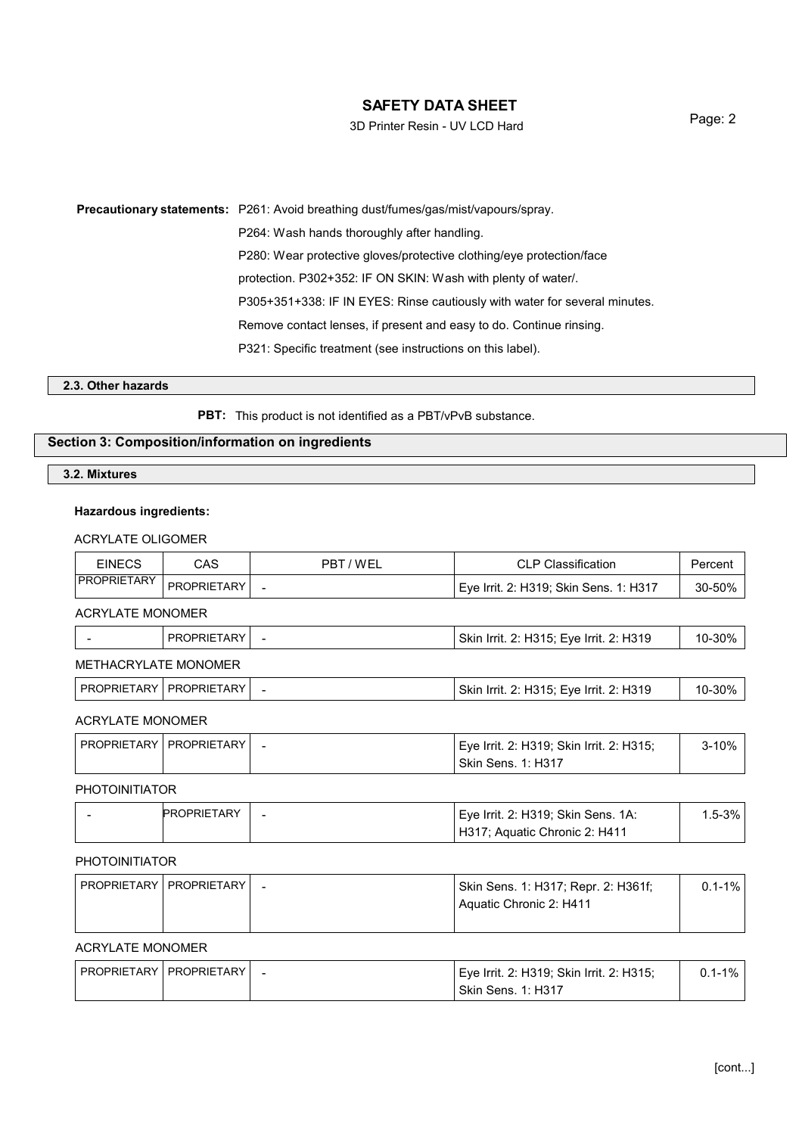3D Printer Resin - UV LCD Hard

Page: 2

**Precautionary statements:** P261: Avoid breathing dust/fumes/gas/mist/vapours/spray. P264: Wash hands thoroughly after handling. P280: Wear protective gloves/protective clothing/eye protection/face protection. P302+352: IF ON SKIN: Wash with plenty of water/. P305+351+338: IF IN EYES: Rinse cautiously with water for several minutes. Remove contact lenses, if present and easy to do. Continue rinsing. P321: Specific treatment (see instructions on this label).

#### **2.3. Other hazards**

**PBT:** This product is not identified as a PBT/vPvB substance.

## **Section 3: Composition/information on ingredients**

**3.2. Mixtures**

## **Hazardous ingredients:**

## ACRYLATE OLIGOMER

| <b>EINECS</b>           | CAS                | PBT/WEL | <b>CLP Classification</b>               | Percent |
|-------------------------|--------------------|---------|-----------------------------------------|---------|
| <b>PROPRIETARY</b>      | <b>PROPRIETARY</b> | -       | Eye Irrit. 2: H319; Skin Sens. 1: H317  | 30-50%  |
| ACRYLATE MONOMER        |                    |         |                                         |         |
|                         | <b>PROPRIETARY</b> |         | Skin Irrit. 2: H315; Eye Irrit. 2: H319 | 10-30%  |
| METHACRYLATE MONOMER    |                    |         |                                         |         |
| <b>PROPRIETARY</b>      | PROPRIETARY        | -       | Skin Irrit. 2: H315; Eye Irrit. 2: H319 | 10-30%  |
| <b>ACRYLATE MONOMER</b> |                    |         |                                         |         |

# PROPRIETARY PROPRIETARY - Exercise  $\vert$  Eye Irrit. 2: H319; Skin Irrit. 2: H315; Skin Sens. 1: H317

## PHOTOINITIATOR

| <b>PROPRIETARY</b> | Eye Irrit. 2: H319; Skin Sens. 1A: | $.5 - 3\%$ |
|--------------------|------------------------------------|------------|
|                    | H317; Aquatic Chronic 2: H411      |            |

## PHOTOINITIATOR

| <b>PROPRIETARY   PROPRIETARY  </b> |  | Skin Sens. 1: H317; Repr. 2: H361f;  | $0.1 - 1\%$ |
|------------------------------------|--|--------------------------------------|-------------|
|                                    |  | <sup>1</sup> Aguatic Chronic 2: H411 |             |
|                                    |  |                                      |             |

## ACRYLATE MONOMER

| PROPRIETARY   PROPRIETARY |  | Eve Irrit. 2: H319: Skin Irrit. 2: H315: | $0.1 - 1\%$ |
|---------------------------|--|------------------------------------------|-------------|
|                           |  | ⊥ Skin Sens. 1: H317                     |             |

3-10%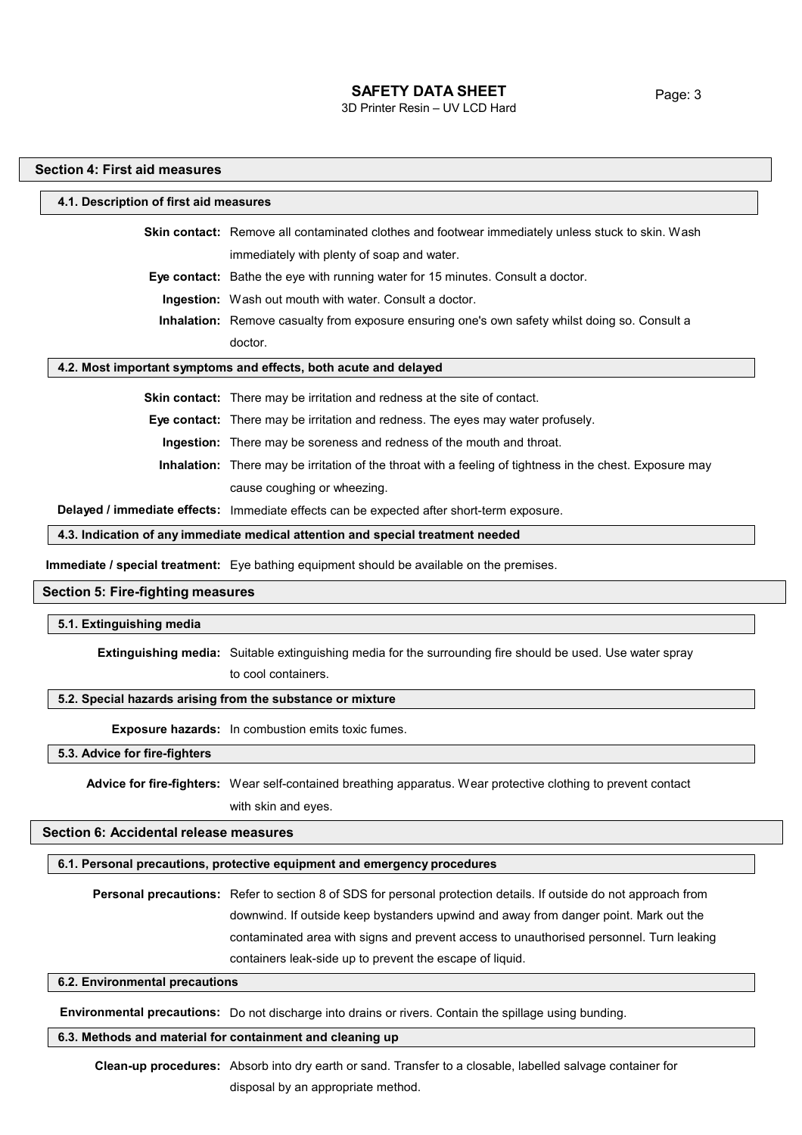3D Printer Resin – UV LCD Hard

## **Section 4: First aid measures**

## **4.1. Description of first aid measures**

| <b>Skin contact:</b> Remove all contaminated clothes and footwear immediately unless stuck to skin. Wash |
|----------------------------------------------------------------------------------------------------------|
| immediately with plenty of soap and water.                                                               |
| <b>Eye contact:</b> Bathe the eye with running water for 15 minutes. Consult a doctor.                   |
| <b>Ingestion:</b> Wash out mouth with water. Consult a doctor.                                           |
| Inhalation: Remove casualty from exposure ensuring one's own safety whilst doing so. Consult a           |
| doctor.                                                                                                  |

#### **4.2. Most important symptoms and effects, both acute and delayed**

**Skin contact:** There may be irritation and redness at the site of contact.

**Eye contact:** There may be irritation and redness. The eyes may water profusely.

**Ingestion:** There may be soreness and redness of the mouth and throat.

**Inhalation:** There may be irritation of the throat with a feeling of tightness in the chest. Exposure may cause coughing or wheezing.

**Delayed / immediate effects:** Immediate effects can be expected after short-term exposure.

**4.3. Indication of any immediate medical attention and special treatment needed**

**Immediate / special treatment:** Eye bathing equipment should be available on the premises.

## **Section 5: Fire-fighting measures**

#### **5.1. Extinguishing media**

**Extinguishing media:** Suitable extinguishing media for the surrounding fire should be used. Use water spray to cool containers.

#### **5.2. Special hazards arising from the substance or mixture**

**Exposure hazards:** In combustion emits toxic fumes.

**5.3. Advice for fire-fighters**

**Advice for fire-fighters:** Wear self-contained breathing apparatus. Wear protective clothing to prevent contact with skin and eyes.

## **Section 6: Accidental release measures**

#### **6.1. Personal precautions, protective equipment and emergency procedures**

**Personal precautions:** Refer to section 8 of SDS for personal protection details. If outside do not approach from downwind. If outside keep bystanders upwind and away from danger point. Mark out the contaminated area with signs and prevent access to unauthorised personnel. Turn leaking containers leak-side up to prevent the escape of liquid.

#### **6.2. Environmental precautions**

**Environmental precautions:** Do not discharge into drains or rivers. Contain the spillage using bunding.

#### **6.3. Methods and material for containment and cleaning up**

**Clean-up procedures:** Absorb into dry earth or sand. Transfer to a closable, labelled salvage container for disposal by an appropriate method.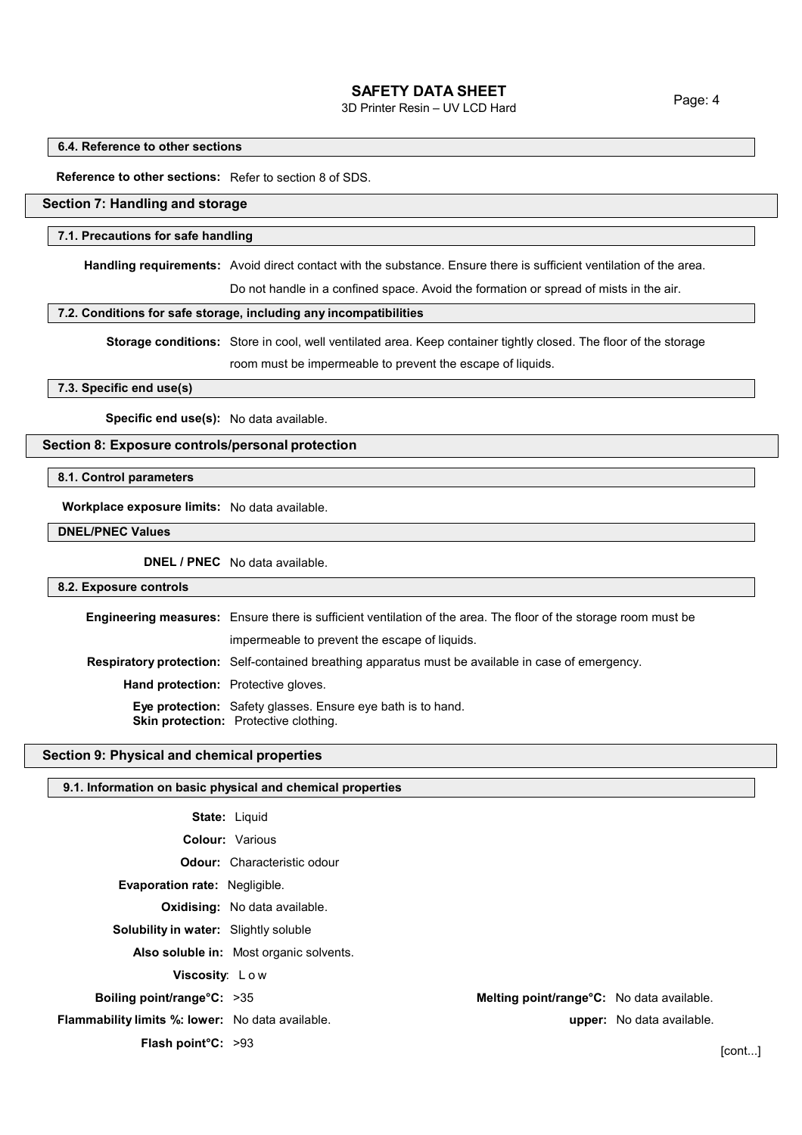3D Printer Resin – UV LCD Hard

#### **6.4. Reference to other sections**

**Reference to other sections:** Refer to section 8 of SDS.

## **Section 7: Handling and storage**

#### **7.1. Precautions for safe handling**

**Handling requirements:** Avoid direct contact with the substance. Ensure there is sufficient ventilation of the area.

Do not handle in a confined space. Avoid the formation or spread of mists in the air.

#### **7.2. Conditions for safe storage, including any incompatibilities**

**Storage conditions:** Store in cool, well ventilated area. Keep container tightly closed. The floor of the storage room must be impermeable to prevent the escape of liquids.

#### **7.3. Specific end use(s)**

**Specific end use(s):** No data available.

## **Section 8: Exposure controls/personal protection**

**8.1. Control parameters**

**Workplace exposure limits:** No data available.

**DNEL/PNEC Values**

**DNEL / PNEC** No data available.

#### **8.2. Exposure controls**

|                                            | <b>Engineering measures:</b> Ensure there is sufficient ventilation of the area. The floor of the storage room must be |  |
|--------------------------------------------|------------------------------------------------------------------------------------------------------------------------|--|
|                                            | impermeable to prevent the escape of liquids.                                                                          |  |
|                                            | <b>Respiratory protection:</b> Self-contained breathing apparatus must be available in case of emergency.              |  |
| <b>Hand protection:</b> Protective gloves. |                                                                                                                        |  |
|                                            | <b>Eye protection:</b> Safety glasses. Ensure eye bath is to hand.<br><b>Skin protection:</b> Protective clothing.     |  |

#### **Section 9: Physical and chemical properties**

#### **9.1. Information on basic physical and chemical properties**

|                                                  | <b>State: Liquid</b>                    |                                           |                           |        |
|--------------------------------------------------|-----------------------------------------|-------------------------------------------|---------------------------|--------|
|                                                  | <b>Colour: Various</b>                  |                                           |                           |        |
|                                                  | <b>Odour:</b> Characteristic odour      |                                           |                           |        |
| <b>Evaporation rate: Negligible.</b>             |                                         |                                           |                           |        |
|                                                  | <b>Oxidising:</b> No data available.    |                                           |                           |        |
| <b>Solubility in water:</b> Slightly soluble     |                                         |                                           |                           |        |
|                                                  | Also soluble in: Most organic solvents. |                                           |                           |        |
| Viscosity: Low                                   |                                         |                                           |                           |        |
| Boiling point/range $C: >35$                     |                                         | Melting point/range°C: No data available. |                           |        |
| Flammability limits %: lower: No data available. |                                         |                                           | upper: No data available. |        |
| <b>Flash point °C:</b> $>93$                     |                                         |                                           |                           | [cont] |
|                                                  |                                         |                                           |                           |        |

Page: 4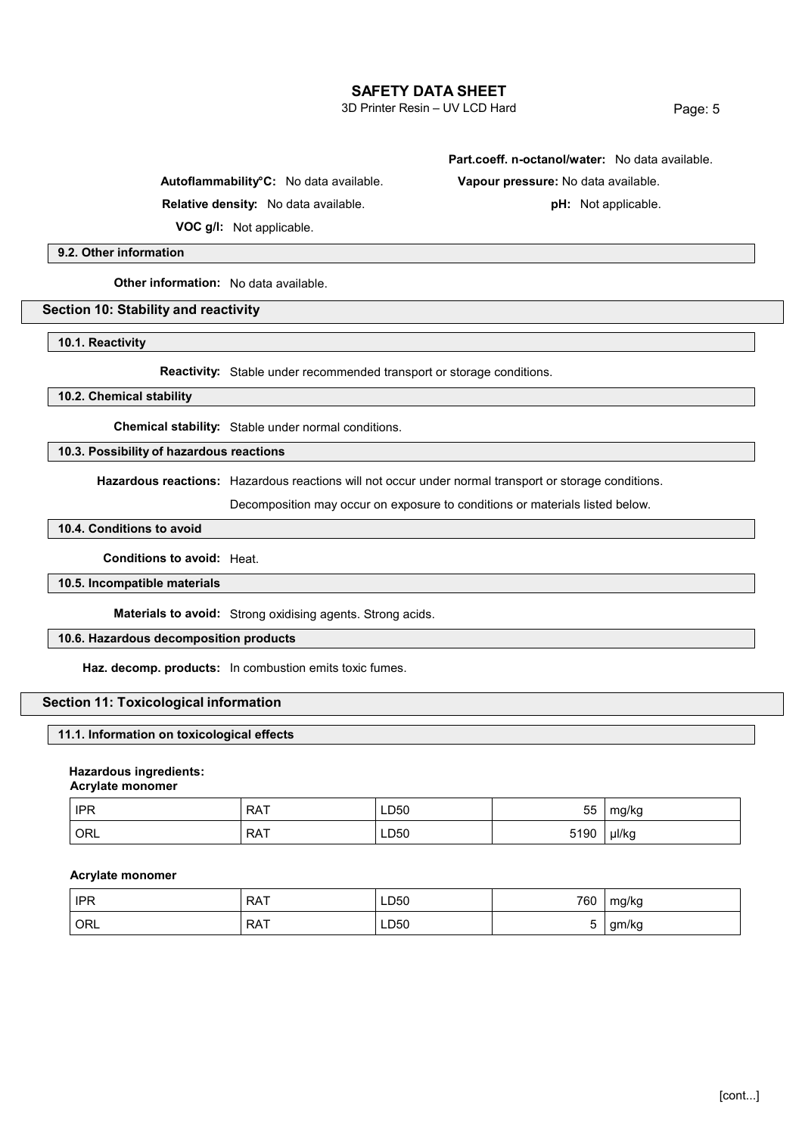3D Printer Resin – UV LCD Hard

Page: 5

**Autoflammability°C:** No data available. **Vapour pressure:** No data available.

**Relative density:** No data available. **pH:** Not applicable.

**Part.coeff. n-octanol/water:** No data available.

**VOC g/l:** Not applicable.

**9.2. Other information**

**Other information:** No data available.

## **Section 10: Stability and reactivity**

**10.1. Reactivity**

**Reactivity:** Stable under recommended transport or storage conditions.

#### **10.2. Chemical stability**

**Chemical stability:** Stable under normal conditions.

## **10.3. Possibility of hazardous reactions**

**Hazardous reactions:** Hazardous reactions will not occur under normal transport or storage conditions.

Decomposition may occur on exposure to conditions or materials listed below.

## **10.4. Conditions to avoid**

#### **Conditions to avoid:** Heat.

#### **10.5. Incompatible materials**

**Materials to avoid:** Strong oxidising agents. Strong acids.

## **10.6. Hazardous decomposition products**

**Haz. decomp. products:** In combustion emits toxic fumes.

## **Section 11: Toxicological information**

#### **11.1. Information on toxicological effects**

#### **Hazardous ingredients:**

**Acrylate monomer**

| <b>IPR</b> | <b>RAT</b> | LD50 | 55   | mg/kg |
|------------|------------|------|------|-------|
| ORL        | <b>RAT</b> | LD50 | 5190 | µl/kg |

#### **Acrylate monomer**

| <b>IPR</b> | <b>RAT</b> | LD50 | 760 | mg/kg |
|------------|------------|------|-----|-------|
| ORL        | <b>RAT</b> | LD50 |     | gm/kg |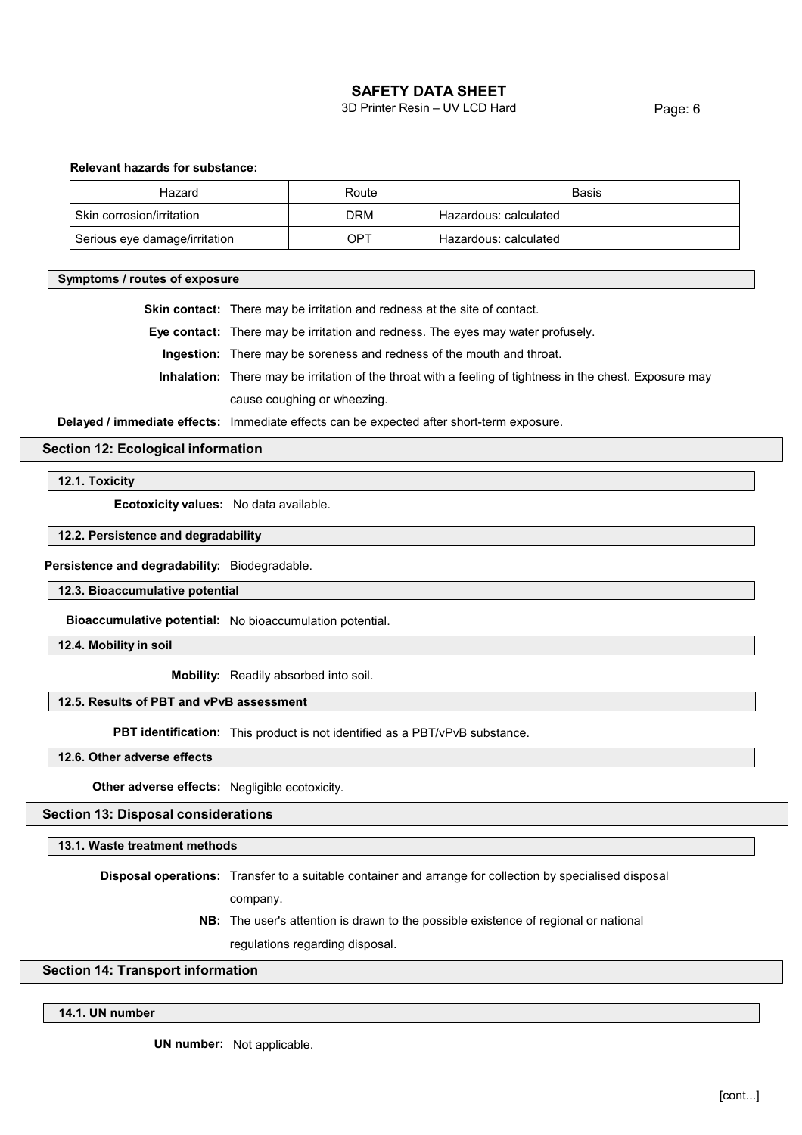3D Printer Resin – UV LCD Hard

Page: 6

## **Relevant hazards for substance:**

| Hazard                        | Route | Basis                 |
|-------------------------------|-------|-----------------------|
| Skin corrosion/irritation     | DRM   | Hazardous: calculated |
| Serious eye damage/irritation | OPT   | Hazardous: calculated |

#### **Symptoms / routes of exposure**

**Skin contact:** There may be irritation and redness at the site of contact.

**Eye contact:** There may be irritation and redness. The eyes may water profusely.

**Ingestion:** There may be soreness and redness of the mouth and throat.

**Inhalation:** There may be irritation of the throat with a feeling of tightness in the chest. Exposure may cause coughing or wheezing.

**Delayed / immediate effects:** Immediate effects can be expected after short-term exposure.

## **Section 12: Ecological information**

**12.1. Toxicity**

**Ecotoxicity values:** No data available.

#### **12.2. Persistence and degradability**

#### **Persistence and degradability:** Biodegradable.

**12.3. Bioaccumulative potential**

**Bioaccumulative potential:** No bioaccumulation potential.

**12.4. Mobility in soil**

**Mobility:** Readily absorbed into soil.

#### **12.5. Results of PBT and vPvB assessment**

**PBT identification:** This product is not identified as a PBT/vPvB substance.

**12.6. Other adverse effects**

**Other adverse effects:** Negligible ecotoxicity.

#### **Section 13: Disposal considerations**

**13.1. Waste treatment methods**

**Disposal operations:** Transfer to a suitable container and arrange for collection by specialised disposal

- company.
- **NB:** The user's attention is drawn to the possible existence of regional or national regulations regarding disposal.

## **Section 14: Transport information**

### **14.1. UN number**

**UN number:** Not applicable.